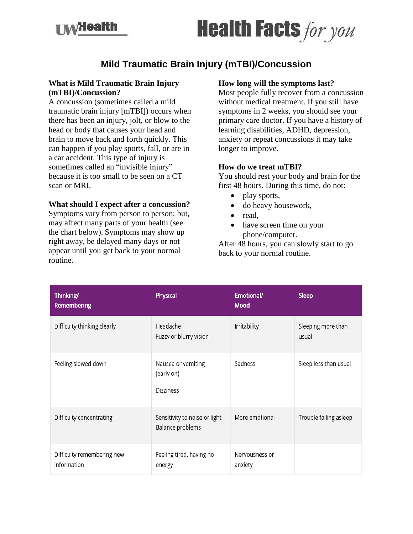**I My Health** 

# **Health Facts** for you

# **Mild Traumatic Brain Injury (mTBI)/Concussion**

## **What is Mild Traumatic Brain Injury (mTBI)/Concussion?**

A concussion (sometimes called a mild traumatic brain injury [mTBI]) occurs when there has been an injury, jolt, or blow to the head or body that causes your head and brain to move back and forth quickly. This can happen if you play sports, fall, or are in a car accident. This type of injury is sometimes called an "invisible injury" because it is too small to be seen on a CT scan or MRI.

### **What should I expect after a concussion?**

Symptoms vary from person to person; but, may affect many parts of your health (see the chart below). Symptoms may show up right away, be delayed many days or not appear until you get back to your normal routine.

#### **How long will the symptoms last?**

Most people fully recover from a concussion without medical treatment. If you still have symptoms in 2 weeks, you should see your primary care doctor. If you have a history of learning disabilities, ADHD, depression, anxiety or repeat concussions it may take longer to improve.

#### **How do we treat mTBI?**

You should rest your body and brain for the first 48 hours. During this time, do not:

- play sports,
- do heavy housework,
- read.
- have screen time on your phone/computer.

After 48 hours, you can slowly start to go back to your normal routine.

| Thinking/<br><b>Remembering</b>           | Physical                                             | Emotional/<br><b>Mood</b> | <b>Sleep</b>                |
|-------------------------------------------|------------------------------------------------------|---------------------------|-----------------------------|
| Difficulty thinking clearly               | Headache<br>Fuzzy or blurry vision                   | Irritability              | Sleeping more than<br>usual |
| Feeling slowed down                       | Nausea or vomiting<br>(early on)<br><b>Dizziness</b> | Sadness                   | Sleep less than usual       |
| Difficulty concentrating                  | Sensitivity to noise or light<br>Balance problems    | More emotional            | Trouble falling asleep      |
| Difficulty remembering new<br>information | Feeling tired, having no<br>energy                   | Nervousness or<br>anxiety |                             |